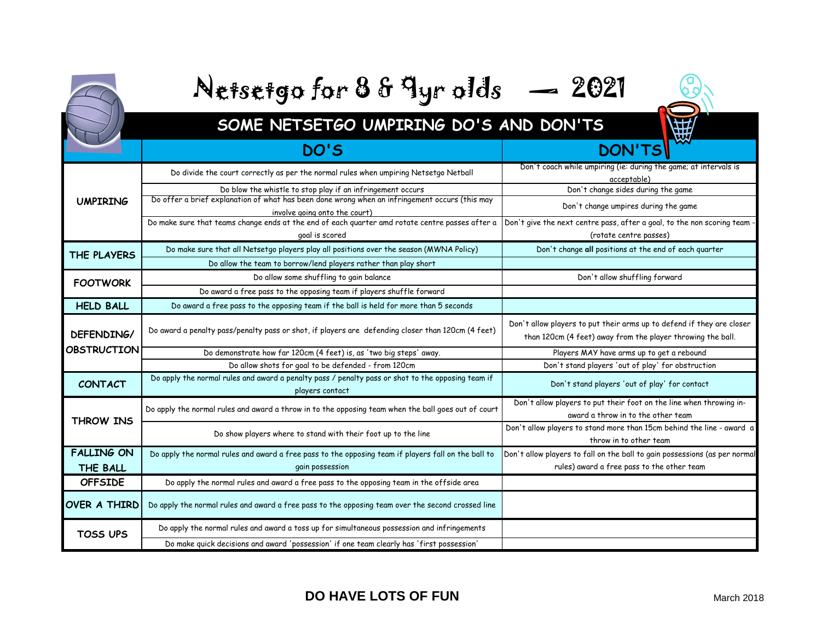|                                        | Netsetgo for 8 & 9yr olds - 2021                                                                                                |                                                                                                                                      |
|----------------------------------------|---------------------------------------------------------------------------------------------------------------------------------|--------------------------------------------------------------------------------------------------------------------------------------|
| SOME NETSETGO UMPIRING DO'S AND DON'TS |                                                                                                                                 |                                                                                                                                      |
|                                        | DO'S                                                                                                                            | <b>DON'TS</b>                                                                                                                        |
| <b>UMPIRING</b>                        | Do divide the court correctly as per the normal rules when umpiring Netsetgo Netball                                            | Don't coach while umpiring (ie: during the game; at intervals is<br>acceptable)                                                      |
|                                        | Do blow the whistle to stop play if an infringement occurs                                                                      | Don't change sides during the game                                                                                                   |
|                                        | Do offer a brief explanation of what has been done wrong when an infringement occurs (this may<br>involve going onto the court) | Don't change umpires during the game                                                                                                 |
|                                        | Do make sure that teams change ends at the end of each quarter amd rotate centre passes after a<br>goal is scored               | Don't give the next centre pass, after a goal, to the non scoring team<br>(rotate centre passes)                                     |
| THE PLAYERS                            | Do make sure that all Netsetgo players play all positions over the season (MWNA Policy)                                         | Don't change all positions at the end of each quarter                                                                                |
|                                        | Do allow the team to borrow/lend players rather than play short                                                                 |                                                                                                                                      |
| <b>FOOTWORK</b>                        | Do allow some shuffling to gain balance                                                                                         | Don't allow shuffling forward                                                                                                        |
|                                        | Do award a free pass to the opposing team if players shuffle forward                                                            |                                                                                                                                      |
| <b>HELD BALL</b>                       | Do award a free pass to the opposing team if the ball is held for more than 5 seconds                                           |                                                                                                                                      |
| DEFENDING/                             | Do award a penalty pass/penalty pass or shot, if players are defending closer than 120cm (4 feet)                               | Don't allow players to put their arms up to defend if they are closer<br>than 120cm (4 feet) away from the player throwing the ball. |
| <b>OBSTRUCTION</b>                     | Do demonstrate how far 120cm (4 feet) is, as 'two big steps' away.                                                              | Players MAY have arms up to get a rebound                                                                                            |
|                                        | Do allow shots for goal to be defended - from 120cm                                                                             | Don't stand players 'out of play' for obstruction                                                                                    |
| <b>CONTACT</b>                         | Do apply the normal rules and award a penalty pass / penalty pass or shot to the opposing team if<br>players contact            | Don't stand players 'out of play' for contact                                                                                        |
| THROW INS                              | Do apply the normal rules and award a throw in to the opposing team when the ball goes out of court                             | Don't allow players to put their foot on the line when throwing in-<br>award a throw in to the other team                            |
|                                        | Do show players where to stand with their foot up to the line                                                                   | Don't allow players to stand more than 15cm behind the line - award a<br>throw in to other team                                      |
| <b>FALLING ON</b>                      | Do apply the normal rules and award a free pass to the opposing team if players fall on the ball to                             | Don't allow players to fall on the ball to gain possessions (as per normal                                                           |
| THE BALL                               | gain possession                                                                                                                 | rules) award a free pass to the other team                                                                                           |
| <b>OFFSIDE</b>                         | Do apply the normal rules and award a free pass to the opposing team in the offside area                                        |                                                                                                                                      |
| OVER A THIRD                           | Do apply the normal rules and award a free pass to the opposing team over the second crossed line                               |                                                                                                                                      |
| <b>TOSS UPS</b>                        | Do apply the normal rules and award a toss up for simultaneous possession and infringements                                     |                                                                                                                                      |
|                                        | Do make quick decisions and award 'possession' if one team clearly has 'first possession'                                       |                                                                                                                                      |